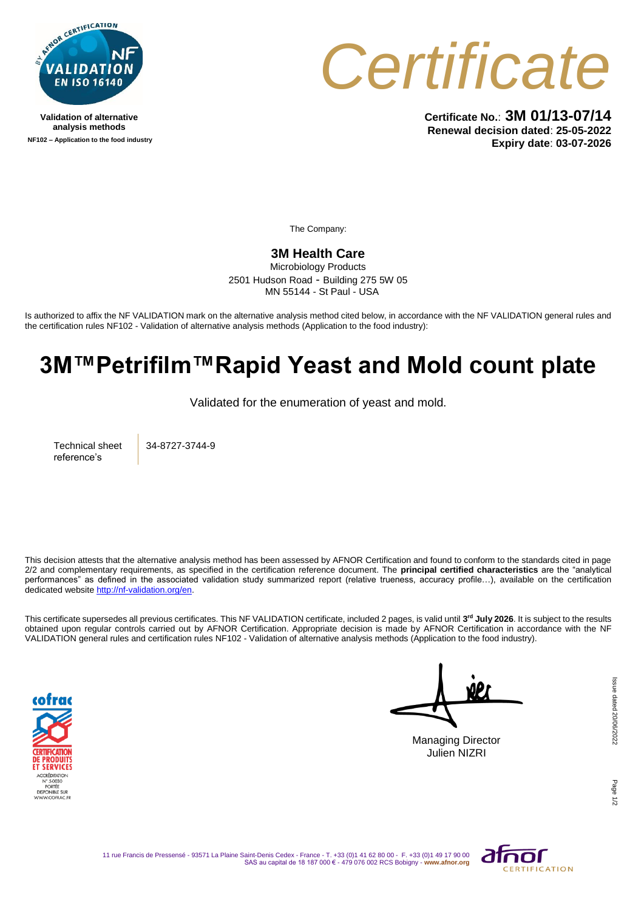

**Validation of alternative analysis methods NF102 – Application to the food industry**



**Certificate No.**: **3M 01/13-07/14 Renewal decision dated**: **25-05-2022 Expiry date**: **03-07-2026**

The Company:

## **3M Health Care**

Microbiology Products 2501 Hudson Road - Building 275 5W 05 MN 55144 - St Paul - USA

Is authorized to affix the NF VALIDATION mark on the alternative analysis method cited below, in accordance with the NF VALIDATION general rules and the certification rules NF102 - Validation of alternative analysis methods (Application to the food industry):

## **3M™Petrifilm™Rapid Yeast and Mold count plate**

Validated for the enumeration of yeast and mold.

Technical sheet reference's

34-8727-3744-9

This decision attests that the alternative analysis method has been assessed by AFNOR Certification and found to conform to the standards cited in page 2/2 and complementary requirements, as specified in the certification reference document. The **principal certified characteristics** are the "analytical performances" as defined in the associated validation study summarized report (relative trueness, accuracy profile…), available on the certification dedicated websit[e http://nf-validation.org/en.](http://nf-validation.org/en)

This certificate supersedes all previous certificates. This NF VALIDATION certificate, included 2 pages, is valid until **3 rd July 2026**. It is subject to the results obtained upon regular controls carried out by AFNOR Certification. Appropriate decision is made by AFNOR Certification in accordance with the NF VALIDATION general rules and certification rules NF102 - Validation of alternative analysis methods (Application to the food industry).



Managing Director Julien NIZRI